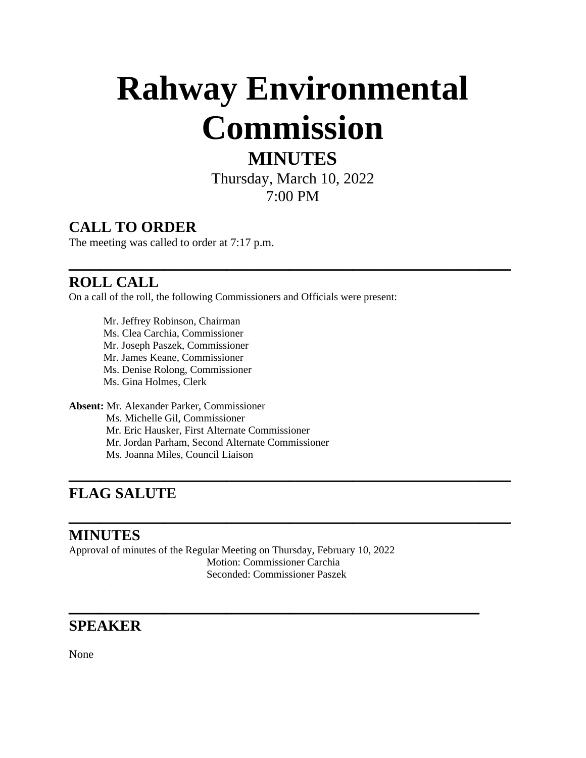# **Rahway Environmental Commission**

# **MINUTES**

Thursday, March 10, 2022 7:00 PM

**\_\_\_\_\_\_\_\_\_\_\_\_\_\_\_\_\_\_\_\_\_\_\_\_\_\_\_\_\_\_\_\_\_\_\_\_\_\_\_\_\_\_**

**\_\_\_\_\_\_\_\_\_\_\_\_\_\_\_\_\_\_\_\_\_\_\_\_\_\_\_\_\_\_\_\_\_\_\_\_\_\_\_\_\_\_**

**\_\_\_\_\_\_\_\_\_\_\_\_\_\_\_\_\_\_\_\_\_\_\_\_\_\_\_\_\_\_\_\_\_\_\_\_\_\_\_\_\_\_**

**\_\_\_\_\_\_\_\_\_\_\_\_\_\_\_\_\_\_\_\_\_\_\_\_\_\_\_\_\_\_\_\_\_\_\_\_\_\_\_**

## **CALL TO ORDER**

The meeting was called to order at 7:17 p.m.

## **ROLL CALL**

On a call of the roll, the following Commissioners and Officials were present:

Mr. Jeffrey Robinson, Chairman Ms. Clea Carchia, Commissioner Mr. Joseph Paszek, Commissioner Mr. James Keane, Commissioner Ms. Denise Rolong, Commissioner Ms. Gina Holmes, Clerk **Absent:** Mr. Alexander Parker, Commissioner

 Ms. Michelle Gil, Commissioner Mr. Eric Hausker, First Alternate Commissioner Mr. Jordan Parham, Second Alternate Commissioner

Ms. Joanna Miles, Council Liaison

# **FLAG SALUTE**

### **MINUTES**

Approval of minutes of the Regular Meeting on Thursday, February 10, 2022 Motion: Commissioner Carchia Seconded: Commissioner Paszek

### **SPEAKER**

None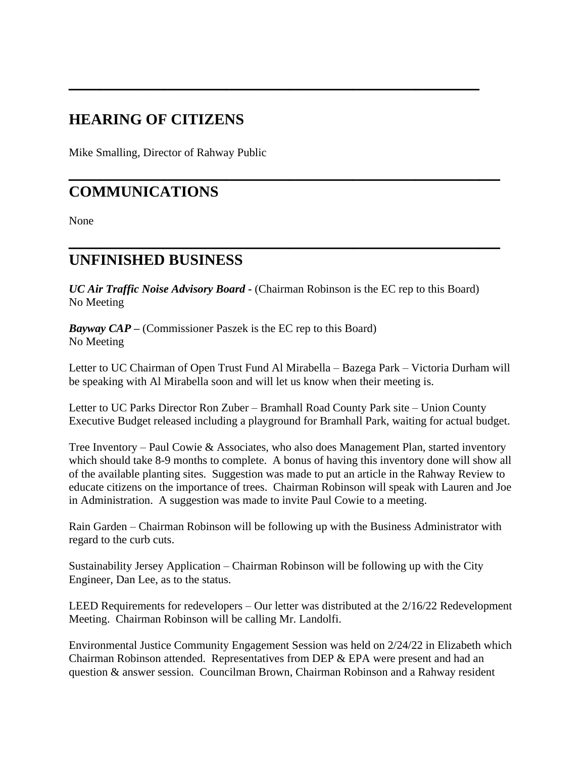## **HEARING OF CITIZENS**

Mike Smalling, Director of Rahway Public

## **COMMUNICATIONS**

None

#### **UNFINISHED BUSINESS**

*UC Air Traffic Noise Advisory Board* **-** (Chairman Robinson is the EC rep to this Board) No Meeting

**\_\_\_\_\_\_\_\_\_\_\_\_\_\_\_\_\_\_\_\_\_\_\_\_\_\_\_\_\_\_\_\_\_\_\_\_\_\_\_**

**\_\_\_\_\_\_\_\_\_\_\_\_\_\_\_\_\_\_\_\_\_\_\_\_\_\_\_\_\_\_\_\_\_\_\_\_\_\_\_\_\_**

**\_\_\_\_\_\_\_\_\_\_\_\_\_\_\_\_\_\_\_\_\_\_\_\_\_\_\_\_\_\_\_\_\_\_\_\_\_\_\_\_\_**

*Bayway CAP* **–** (Commissioner Paszek is the EC rep to this Board) No Meeting

Letter to UC Chairman of Open Trust Fund Al Mirabella – Bazega Park – Victoria Durham will be speaking with Al Mirabella soon and will let us know when their meeting is.

Letter to UC Parks Director Ron Zuber – Bramhall Road County Park site – Union County Executive Budget released including a playground for Bramhall Park, waiting for actual budget.

Tree Inventory – Paul Cowie & Associates, who also does Management Plan, started inventory which should take 8-9 months to complete. A bonus of having this inventory done will show all of the available planting sites. Suggestion was made to put an article in the Rahway Review to educate citizens on the importance of trees. Chairman Robinson will speak with Lauren and Joe in Administration. A suggestion was made to invite Paul Cowie to a meeting.

Rain Garden – Chairman Robinson will be following up with the Business Administrator with regard to the curb cuts.

Sustainability Jersey Application – Chairman Robinson will be following up with the City Engineer, Dan Lee, as to the status.

LEED Requirements for redevelopers – Our letter was distributed at the 2/16/22 Redevelopment Meeting. Chairman Robinson will be calling Mr. Landolfi.

Environmental Justice Community Engagement Session was held on 2/24/22 in Elizabeth which Chairman Robinson attended. Representatives from DEP & EPA were present and had an question & answer session. Councilman Brown, Chairman Robinson and a Rahway resident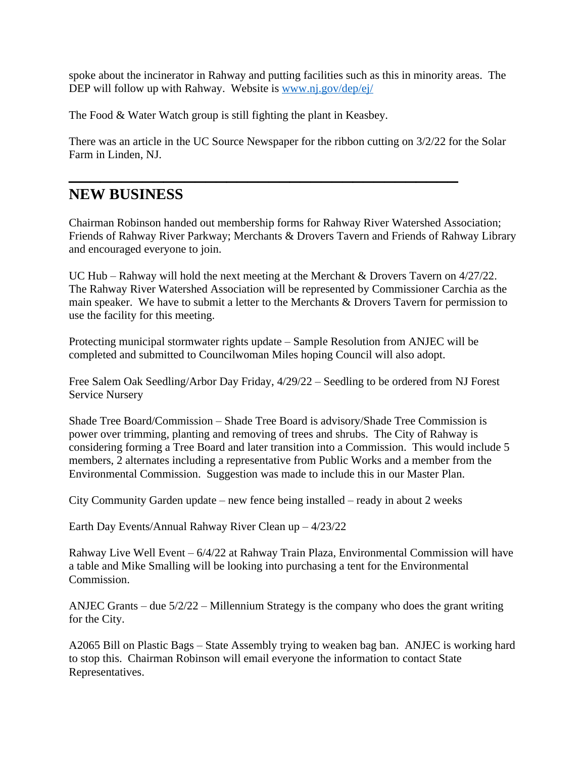spoke about the incinerator in Rahway and putting facilities such as this in minority areas. The DEP will follow up with Rahway. Website is [www.nj.gov/dep/ej/](http://www.nj.gov/dep/ej/)

The Food & Water Watch group is still fighting the plant in Keasbey.

There was an article in the UC Source Newspaper for the ribbon cutting on 3/2/22 for the Solar Farm in Linden, NJ.

**\_\_\_\_\_\_\_\_\_\_\_\_\_\_\_\_\_\_\_\_\_\_\_\_\_\_\_\_\_\_\_\_\_\_\_\_\_**

### **NEW BUSINESS**

Chairman Robinson handed out membership forms for Rahway River Watershed Association; Friends of Rahway River Parkway; Merchants & Drovers Tavern and Friends of Rahway Library and encouraged everyone to join.

UC Hub – Rahway will hold the next meeting at the Merchant & Drovers Tavern on 4/27/22. The Rahway River Watershed Association will be represented by Commissioner Carchia as the main speaker. We have to submit a letter to the Merchants & Drovers Tavern for permission to use the facility for this meeting.

Protecting municipal stormwater rights update – Sample Resolution from ANJEC will be completed and submitted to Councilwoman Miles hoping Council will also adopt.

Free Salem Oak Seedling/Arbor Day Friday, 4/29/22 – Seedling to be ordered from NJ Forest Service Nursery

Shade Tree Board/Commission – Shade Tree Board is advisory/Shade Tree Commission is power over trimming, planting and removing of trees and shrubs. The City of Rahway is considering forming a Tree Board and later transition into a Commission. This would include 5 members, 2 alternates including a representative from Public Works and a member from the Environmental Commission. Suggestion was made to include this in our Master Plan.

City Community Garden update – new fence being installed – ready in about 2 weeks

Earth Day Events/Annual Rahway River Clean up – 4/23/22

Rahway Live Well Event – 6/4/22 at Rahway Train Plaza, Environmental Commission will have a table and Mike Smalling will be looking into purchasing a tent for the Environmental Commission.

ANJEC Grants – due 5/2/22 – Millennium Strategy is the company who does the grant writing for the City.

A2065 Bill on Plastic Bags – State Assembly trying to weaken bag ban. ANJEC is working hard to stop this. Chairman Robinson will email everyone the information to contact State Representatives.